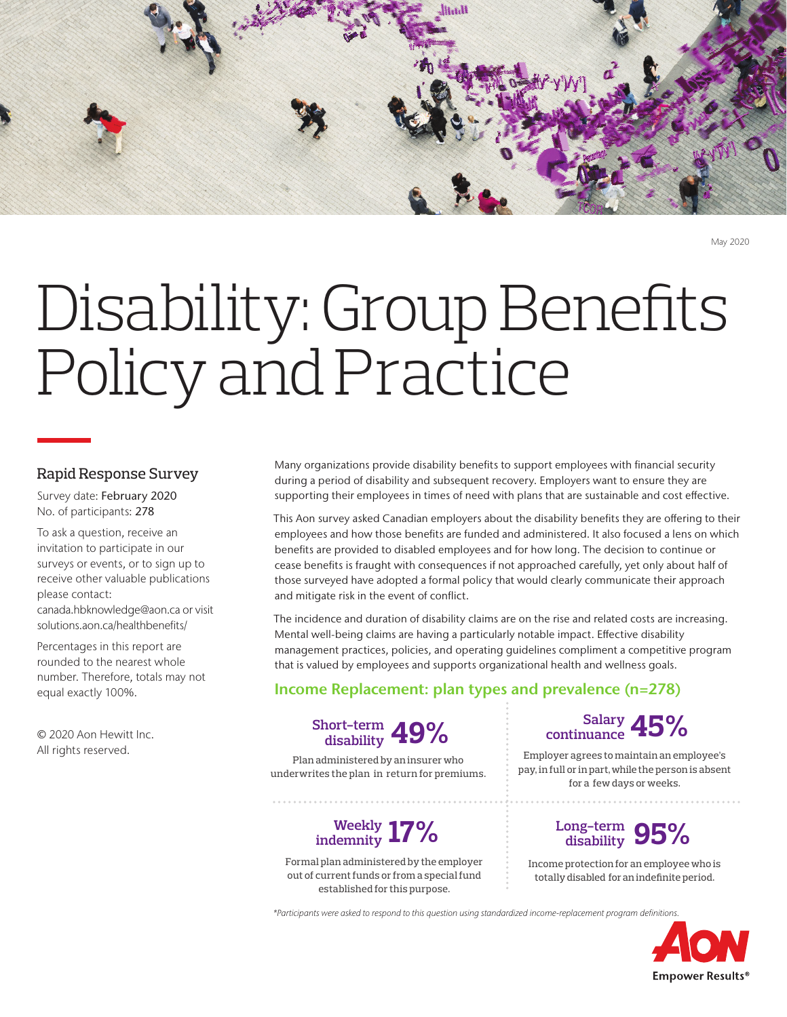

May 2020

# Disability: Group Benefits Policy and Practice

## Rapid Response Survey

Survey date: February 2020 No. of participants: 278

To ask a question, receive an invitation to participate in our surveys or events, or to sign up to receive other valuable publications please contact: canada.hbknowledge@aon.ca or visit

solutions.aon.ca/healthbenefits/ Percentages in this report are rounded to the nearest whole number. Therefore, totals may not

© 2020 Aon Hewitt Inc. All rights reserved.

equal exactly 100%.

Many organizations provide disability benefits to support employees with financial security during a period of disability and subsequent recovery. Employers want to ensure they are supporting their employees in times of need with plans that are sustainable and cost effective.

This Aon survey asked Canadian employers about the disability benefits they are offering to their employees and how those benefits are funded and administered. It also focused a lens on which benefits are provided to disabled employees and for how long. The decision to continue or cease benefits is fraught with consequences if not approached carefully, yet only about half of those surveyed have adopted a formal policy that would clearly communicate their approach and mitigate risk in the event of conflict.

The incidence and duration of disability claims are on the rise and related costs are increasing. Mental well-being claims are having a particularly notable impact. Effective disability management practices, policies, and operating guidelines compliment a competitive program that is valued by employees and supports organizational health and wellness goals.

## Income Replacement: plan types and prevalence (n=278)



Plan administered by an insurer who underwrites the plan in return for premiums.

## **17% Weekly indemnity**

Formal plan administered by the employer out of current funds or from a special fund established for this purpose.

**45% Salary continuance**

Employer agrees to maintain an employee's pay, in full or in part, while the person is absent for a few days or weeks.

## Long-term **95% disability**

Income protection for an employee who is totally disabled for an indefinite period.

*\*Participants were asked to respond to this question using standardized income-replacement program definitions.*

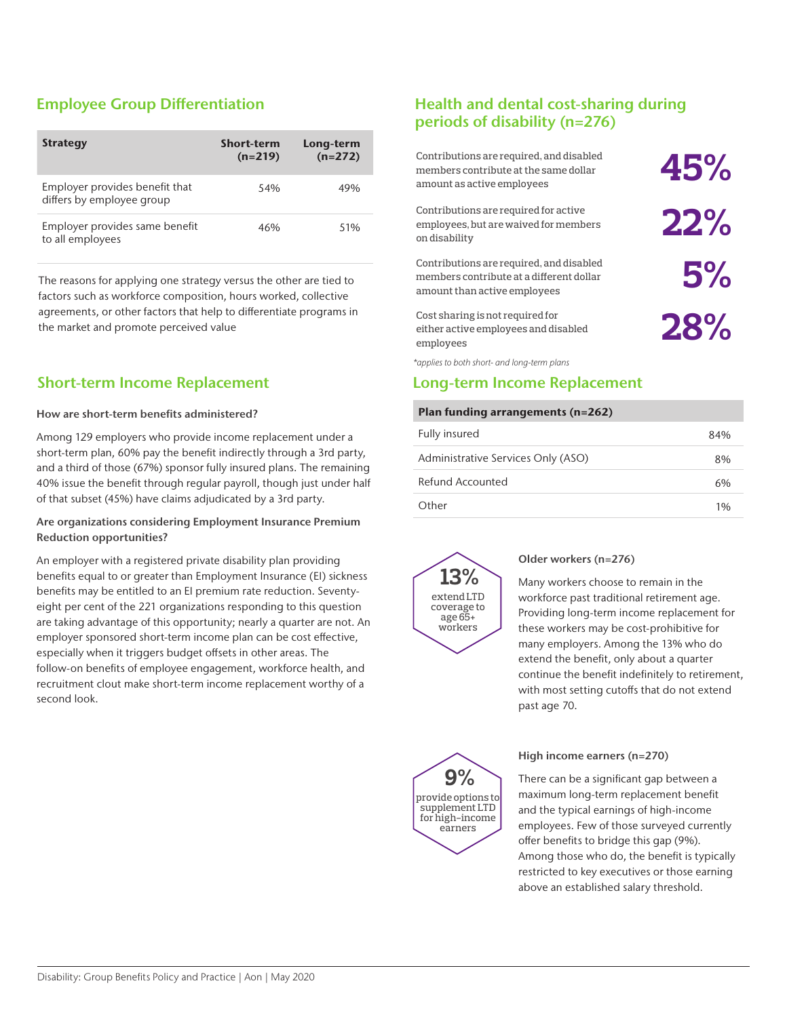# Employee Group Differentiation

| <b>Strategy</b>                                             | <b>Short-term</b><br>$(n=219)$ | Long-term<br>$(n=272)$ |
|-------------------------------------------------------------|--------------------------------|------------------------|
| Employer provides benefit that<br>differs by employee group | 54%                            | 49%                    |
| Employer provides same benefit<br>to all employees          | 46%                            | 51%                    |

The reasons for applying one strategy versus the other are tied to factors such as workforce composition, hours worked, collective agreements, or other factors that help to differentiate programs in the market and promote perceived value

## Short-term Income Replacement

#### How are short-term benefits administered?

Among 129 employers who provide income replacement under a short-term plan, 60% pay the benefit indirectly through a 3rd party, and a third of those (67%) sponsor fully insured plans. The remaining 40% issue the benefit through regular payroll, though just under half of that subset (45%) have claims adjudicated by a 3rd party.

### Are organizations considering Employment Insurance Premium Reduction opportunities?

An employer with a registered private disability plan providing benefits equal to or greater than Employment Insurance (EI) sickness benefits may be entitled to an EI premium rate reduction. Seventyeight per cent of the 221 organizations responding to this question are taking advantage of this opportunity; nearly a quarter are not. An employer sponsored short-term income plan can be cost effective, especially when it triggers budget offsets in other areas. The follow-on benefits of employee engagement, workforce health, and recruitment clout make short-term income replacement worthy of a second look.

## Health and dental cost-sharing during periods of disability (n=276)

| Contributions are required, and disabled<br>members contribute at the same dollar<br>amount as active employees      | 45% |
|----------------------------------------------------------------------------------------------------------------------|-----|
| Contributions are required for active<br>employees, but are waived for members<br>on disability                      | 22% |
| Contributions are required, and disabled<br>members contribute at a different dollar<br>amount than active employees | 5%  |
| Cost sharing is not required for<br>either active employees and disabled<br>employees                                | 28% |

employees

*\*applies to both short- and long-term plans*

## Long-term Income Replacement

#### Plan funding arrangements (n=262)

| Fully insured                      | 84% |
|------------------------------------|-----|
| Administrative Services Only (ASO) | 8%  |
| Refund Accounted                   | 6%  |
| Other                              | 1%  |



### Older workers (n=276)

Many workers choose to remain in the workforce past traditional retirement age. Providing long-term income replacement for these workers may be cost-prohibitive for many employers. Among the 13% who do extend the benefit, only about a quarter continue the benefit indefinitely to retirement, with most setting cutoffs that do not extend past age 70.



### High income earners (n=270)

There can be a significant gap between a maximum long-term replacement benefit and the typical earnings of high-income employees. Few of those surveyed currently offer benefits to bridge this gap (9%). Among those who do, the benefit is typically restricted to key executives or those earning above an established salary threshold.